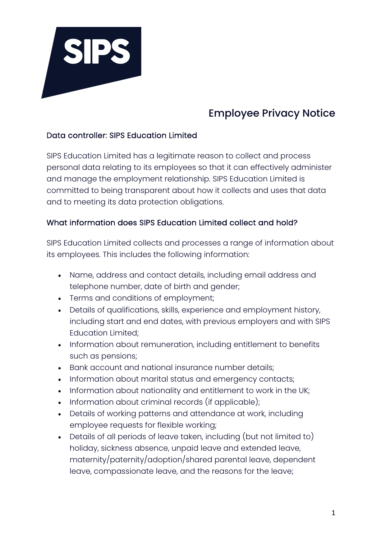

# Employee Privacy Notice

#### Data controller: SIPS Education Limited

SIPS Education Limited has a legitimate reason to collect and process personal data relating to its employees so that it can effectively administer and manage the employment relationship. SIPS Education Limited is committed to being transparent about how it collects and uses that data and to meeting its data protection obligations.

#### What information does SIPS Education Limited collect and hold?

SIPS Education Limited collects and processes a range of information about its employees. This includes the following information:

- Name, address and contact details, including email address and telephone number, date of birth and gender;
- Terms and conditions of employment;
- Details of qualifications, skills, experience and employment history, including start and end dates, with previous employers and with SIPS Education Limited;
- Information about remuneration, including entitlement to benefits such as pensions;
- Bank account and national insurance number details;
- Information about marital status and emergency contacts;
- Information about nationality and entitlement to work in the UK;
- Information about criminal records (if applicable);
- Details of working patterns and attendance at work, including employee requests for flexible working;
- Details of all periods of leave taken, including (but not limited to) holiday, sickness absence, unpaid leave and extended leave, maternity/paternity/adoption/shared parental leave, dependent leave, compassionate leave, and the reasons for the leave;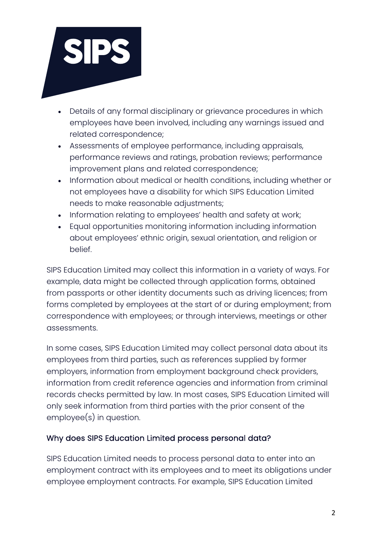

- Details of any formal disciplinary or grievance procedures in which employees have been involved, including any warnings issued and related correspondence;
- Assessments of employee performance, including appraisals, performance reviews and ratings, probation reviews; performance improvement plans and related correspondence;
- Information about medical or health conditions, including whether or not employees have a disability for which SIPS Education Limited needs to make reasonable adjustments;
- Information relating to employees' health and safety at work;
- Equal opportunities monitoring information including information about employees' ethnic origin, sexual orientation, and religion or belief.

SIPS Education Limited may collect this information in a variety of ways. For example, data might be collected through application forms, obtained from passports or other identity documents such as driving licences; from forms completed by employees at the start of or during employment; from correspondence with employees; or through interviews, meetings or other assessments.

In some cases, SIPS Education Limited may collect personal data about its employees from third parties, such as references supplied by former employers, information from employment background check providers, information from credit reference agencies and information from criminal records checks permitted by law. In most cases, SIPS Education Limited will only seek information from third parties with the prior consent of the employee(s) in question.

#### Why does SIPS Education Limited process personal data?

SIPS Education Limited needs to process personal data to enter into an employment contract with its employees and to meet its obligations under employee employment contracts. For example, SIPS Education Limited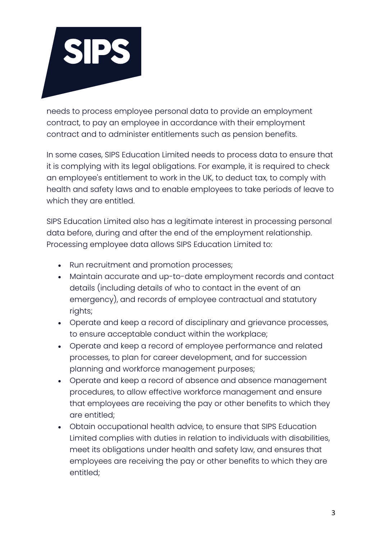

needs to process employee personal data to provide an employment contract, to pay an employee in accordance with their employment contract and to administer entitlements such as pension benefits.

In some cases, SIPS Education Limited needs to process data to ensure that it is complying with its legal obligations. For example, it is required to check an employee's entitlement to work in the UK, to deduct tax, to comply with health and safety laws and to enable employees to take periods of leave to which they are entitled.

SIPS Education Limited also has a legitimate interest in processing personal data before, during and after the end of the employment relationship. Processing employee data allows SIPS Education Limited to:

- Run recruitment and promotion processes;
- Maintain accurate and up-to-date employment records and contact details (including details of who to contact in the event of an emergency), and records of employee contractual and statutory rights;
- Operate and keep a record of disciplinary and grievance processes, to ensure acceptable conduct within the workplace;
- Operate and keep a record of employee performance and related processes, to plan for career development, and for succession planning and workforce management purposes;
- Operate and keep a record of absence and absence management procedures, to allow effective workforce management and ensure that employees are receiving the pay or other benefits to which they are entitled;
- Obtain occupational health advice, to ensure that SIPS Education Limited complies with duties in relation to individuals with disabilities, meet its obligations under health and safety law, and ensures that employees are receiving the pay or other benefits to which they are entitled;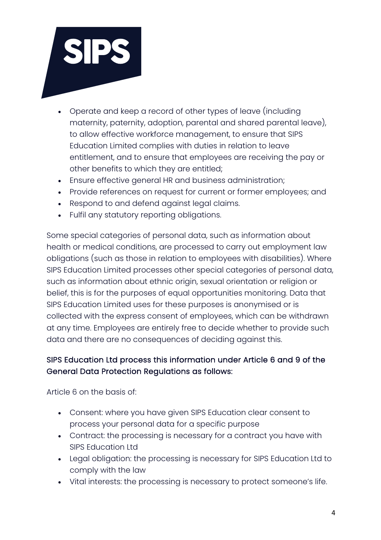

- Operate and keep a record of other types of leave (including maternity, paternity, adoption, parental and shared parental leave), to allow effective workforce management, to ensure that SIPS Education Limited complies with duties in relation to leave entitlement, and to ensure that employees are receiving the pay or other benefits to which they are entitled;
- Ensure effective general HR and business administration;
- Provide references on request for current or former employees; and
- Respond to and defend against legal claims.
- Fulfil any statutory reporting obligations.

Some special categories of personal data, such as information about health or medical conditions, are processed to carry out employment law obligations (such as those in relation to employees with disabilities). Where SIPS Education Limited processes other special categories of personal data, such as information about ethnic origin, sexual orientation or religion or belief, this is for the purposes of equal opportunities monitoring. Data that SIPS Education Limited uses for these purposes is anonymised or is collected with the express consent of employees, which can be withdrawn at any time. Employees are entirely free to decide whether to provide such data and there are no consequences of deciding against this.

# SIPS Education Ltd process this information under Article 6 and 9 of the General Data Protection Regulations as follows:

Article 6 on the basis of:

- Consent: where you have given SIPS Education clear consent to process your personal data for a specific purpose
- Contract: the processing is necessary for a contract you have with SIPS Education Ltd
- Legal obligation: the processing is necessary for SIPS Education Ltd to comply with the law
- Vital interests: the processing is necessary to protect someone's life.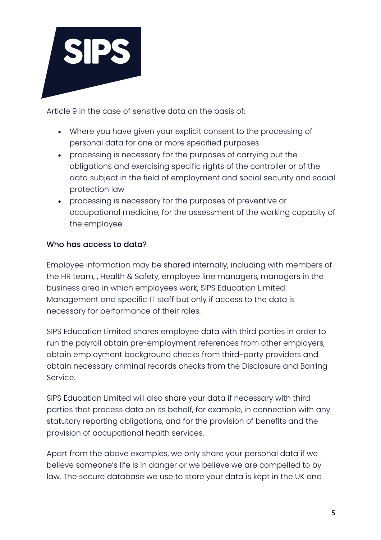

Article 9 in the case of sensitive data on the basis of:

- Where you have given your explicit consent to the processing of personal data for one or more specified purposes
- processing is necessary for the purposes of carrying out the obligations and exercising specific rights of the controller or of the data subject in the field of employment and social security and social protection law
- processing is necessary for the purposes of preventive or occupational medicine, for the assessment of the working capacity of the employee.

# Who has access to data?

Employee information may be shared internally, including with members of the HR team, , Health & Safety, employee line managers, managers in the business area in which employees work, SIPS Education Limited Management and specific IT staff but only if access to the data is necessary for performance of their roles.

SIPS Education Limited shares employee data with third parties in order to run the payroll obtain pre-employment references from other employers, obtain employment background checks from third-party providers and obtain necessary criminal records checks from the Disclosure and Barring Service.

SIPS Education Limited will also share your data if necessary with third parties that process data on its behalf, for example, in connection with any statutory reporting obligations, and for the provision of benefits and the provision of occupational health services.

Apart from the above examples, we only share your personal data if we believe someone's life is in danger or we believe we are compelled to by law. The secure database we use to store your data is kept in the UK and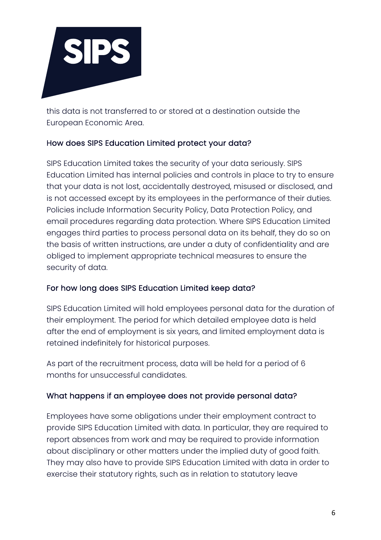

this data is not transferred to or stored at a destination outside the European Economic Area.

## How does SIPS Education Limited protect your data?

SIPS Education Limited takes the security of your data seriously. SIPS Education Limited has internal policies and controls in place to try to ensure that your data is not lost, accidentally destroyed, misused or disclosed, and is not accessed except by its employees in the performance of their duties. Policies include Information Security Policy, Data Protection Policy, and email procedures regarding data protection. Where SIPS Education Limited engages third parties to process personal data on its behalf, they do so on the basis of written instructions, are under a duty of confidentiality and are obliged to implement appropriate technical measures to ensure the security of data.

#### For how long does SIPS Education Limited keep data?

SIPS Education Limited will hold employees personal data for the duration of their employment. The period for which detailed employee data is held after the end of employment is six years, and limited employment data is retained indefinitely for historical purposes.

As part of the recruitment process, data will be held for a period of 6 months for unsuccessful candidates.

## What happens if an employee does not provide personal data?

Employees have some obligations under their employment contract to provide SIPS Education Limited with data. In particular, they are required to report absences from work and may be required to provide information about disciplinary or other matters under the implied duty of good faith. They may also have to provide SIPS Education Limited with data in order to exercise their statutory rights, such as in relation to statutory leave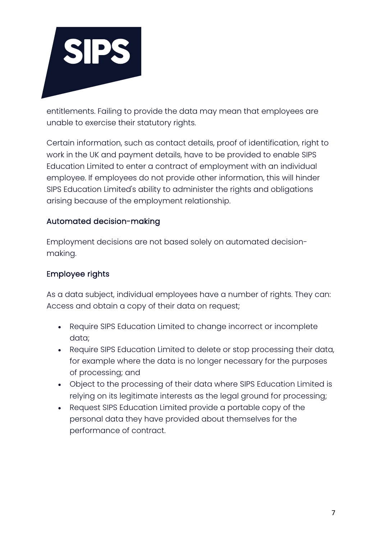

entitlements. Failing to provide the data may mean that employees are unable to exercise their statutory rights.

Certain information, such as contact details, proof of identification, right to work in the UK and payment details, have to be provided to enable SIPS Education Limited to enter a contract of employment with an individual employee. If employees do not provide other information, this will hinder SIPS Education Limited's ability to administer the rights and obligations arising because of the employment relationship.

## Automated decision-making

Employment decisions are not based solely on automated decisionmaking.

### Employee rights

As a data subject, individual employees have a number of rights. They can: Access and obtain a copy of their data on request;

- Require SIPS Education Limited to change incorrect or incomplete data;
- Require SIPS Education Limited to delete or stop processing their data, for example where the data is no longer necessary for the purposes of processing; and
- Object to the processing of their data where SIPS Education Limited is relying on its legitimate interests as the legal ground for processing;
- Request SIPS Education Limited provide a portable copy of the personal data they have provided about themselves for the performance of contract.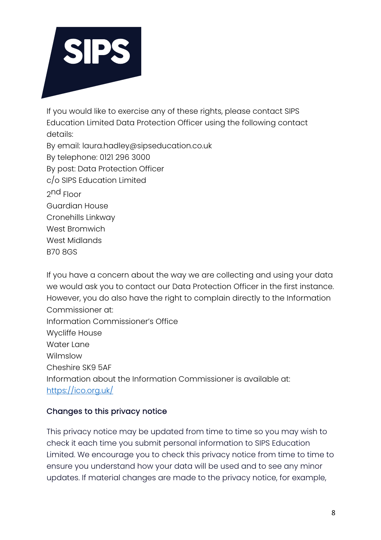

If you would like to exercise any of these rights, please contact SIPS Education Limited Data Protection Officer using the following contact details:

By email: laura.hadley@sipseducation.co.uk By telephone: 0121 296 3000 By post: Data Protection Officer c/o SIPS Education Limited 2nd Floor Guardian House Cronehills Linkway West Bromwich West Midlands B70 8GS

If you have a concern about the way we are collecting and using your data we would ask you to contact our Data Protection Officer in the first instance. However, you do also have the right to complain directly to the Information Commissioner at: Information Commissioner's Office Wycliffe House Water Lane Wilmslow Cheshire SK9 5AF Information about the Information Commissioner is available at: https://ico.org.uk/

## Changes to this privacy notice

This privacy notice may be updated from time to time so you may wish to check it each time you submit personal information to SIPS Education Limited. We encourage you to check this privacy notice from time to time to ensure you understand how your data will be used and to see any minor updates. If material changes are made to the privacy notice, for example,